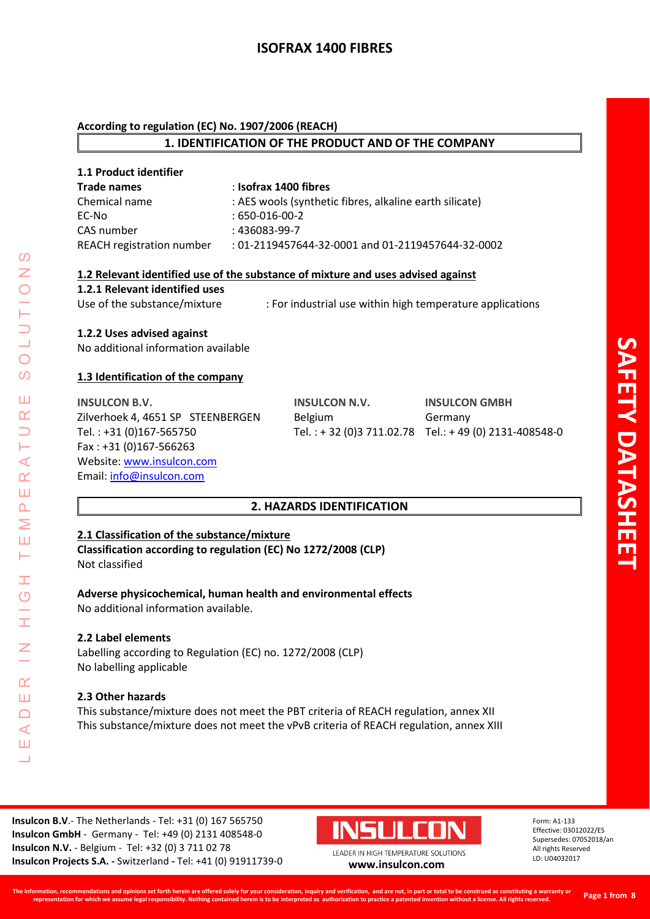# **ISOFRAX 1400 FIBRES**

#### **According to regulation (EC) No. 1907/2006 (REACH)**

# **1. IDENTIFICATION OF THE PRODUCT AND OF THE COMPANY**

| 1.1 Product identifier           |                                                         |
|----------------------------------|---------------------------------------------------------|
| <b>Trade names</b>               | : Isofrax 1400 fibres                                   |
| Chemical name                    | : AES wools (synthetic fibres, alkaline earth silicate) |
| EC-No                            | $:650-016-00-2$                                         |
| CAS number                       | $:436083-99-7$                                          |
| <b>REACH registration number</b> | : 01-2119457644-32-0001 and 01-2119457644-32-0002       |

#### **1.2 Relevant identified use of the substance of mixture and uses advised against**

#### **1.2.1 Relevant identified uses**

Use of the substance/mixture : For industrial use within high temperature applications

# **1.2.2 Uses advised against**

No additional information available

# **1.3 Identification of the company**

**INSULCON B.V. INSULCON N.V. INSULCON GMBH** Zilverhoek 4, 4651 SP STEENBERGEN Belgium Germany Tel. : +31 (0)167-565750 Tel. : + 32 (0)3 711.02.78 Tel.: + 49 (0) 2131-408548-0 Fax : +31 (0)167-566263 Website: [www.insulcon.com](http://www.insulcon.com/) Email: [info@insulcon.com](mailto:info@insulcon.com)

# **2. HAZARDS IDENTIFICATION**

# **2.1 Classification of the substance/mixture**

**Classification according to regulation (EC) No 1272/2008 (CLP)** Not classified

# **Adverse physicochemical, human health and environmental effects**

No additional information available.

# **2.2 Label elements**

LEADER IN HIGH TEMPERATURE SOLUTIONS

Ŧ  $\overline{O}$ 

I

 $\alpha$ Ш  $\Box$  $\triangleleft$ Ш  $\overline{\phantom{0}}$ 

 $\blacktriangleleft$  $\underline{\alpha}$ Ш  $\overline{\mathbf{r}}$ Σ Ш Н

 $\Omega$ Z

 $\bigcirc$  $\Omega$ 

Ш  $\alpha$ 

> Labelling according to Regulation (EC) no. 1272/2008 (CLP) No labelling applicable

# **2.3 Other hazards**

This substance/mixture does not meet the PBT criteria of REACH regulation, annex XII This substance/mixture does not meet the vPvB criteria of REACH regulation, annex XIII

**Insulcon B.V**.- The Netherlands - Tel: +31 (0) 167 565750 **Insulcon GmbH** - Germany - Tel: +49 (0) 2131 408548-0 **Insulcon N.V.** - Belgium - Tel: +32 (0) 3 711 02 78 **Insulcon Projects S.A. -** Switzerland **-** Tel: +41 (0) 91911739-0 **[www.insulcon.com](http://www.insulcon.com/)**

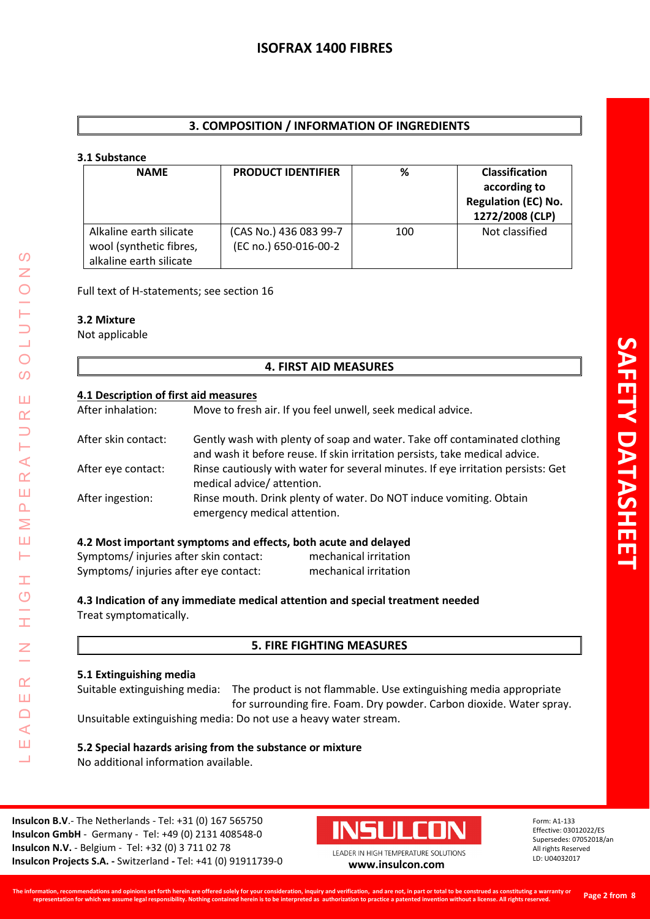# **3. COMPOSITION / INFORMATION OF INGREDIENTS**

#### **3.1 Substance**

| <b>NAME</b>                                                                   | <b>PRODUCT IDENTIFIER</b>                       | ℅   | Classification<br>according to<br><b>Regulation (EC) No.</b><br>1272/2008 (CLP) |
|-------------------------------------------------------------------------------|-------------------------------------------------|-----|---------------------------------------------------------------------------------|
| Alkaline earth silicate<br>wool (synthetic fibres,<br>alkaline earth silicate | (CAS No.) 436 083 99-7<br>(EC no.) 650-016-00-2 | 100 | Not classified                                                                  |

Full text of H-statements; see section 16

# **3.2 Mixture**

LEADER IN HIGH TEMPERATURE SOLUTIONS

Ŧ  $\overline{O}$ 

Ī

 $\alpha$ Ш  $\Box$  $\prec$ Ш 山

 $\mathcal{O}$ Z

 $\bigcirc$  $\overline{O}$ 

Ш  $\alpha$ 

Н  $\prec$  $\alpha$ Ш  $\overline{\mathbf{r}}$ Σ Ш ⊢

Not applicable

# **4. FIRST AID MEASURES**

#### **4.1 Description of first aid measures**

After inhalation: Move to fresh air. If you feel unwell, seek medical advice.

| After skin contact: | Gently wash with plenty of soap and water. Take off contaminated clothing<br>and wash it before reuse. If skin irritation persists, take medical advice. |
|---------------------|----------------------------------------------------------------------------------------------------------------------------------------------------------|
| After eye contact:  | Rinse cautiously with water for several minutes. If eye irritation persists: Get<br>medical advice/ attention.                                           |
| After ingestion:    | Rinse mouth. Drink plenty of water. Do NOT induce vomiting. Obtain<br>emergency medical attention.                                                       |

# **4.2 Most important symptoms and effects, both acute and delayed**

| Symptoms/injuries after skin contact: | mechanical irritation |
|---------------------------------------|-----------------------|
| Symptoms/injuries after eye contact:  | mechanical irritation |

**4.3 Indication of any immediate medical attention and special treatment needed** Treat symptomatically.

# **5. FIRE FIGHTING MEASURES**

# **5.1 Extinguishing media**

Suitable extinguishing media: The product is not flammable. Use extinguishing media appropriate for surrounding fire. Foam. Dry powder. Carbon dioxide. Water spray. Unsuitable extinguishing media: Do not use a heavy water stream.

#### **5.2 Special hazards arising from the substance or mixture** No additional information available.

**Insulcon B.V**.- The Netherlands - Tel: +31 (0) 167 565750 **Insulcon GmbH** - Germany - Tel: +49 (0) 2131 408548-0 **Insulcon N.V.** - Belgium - Tel: +32 (0) 3 711 02 78 **Insulcon Projects S.A. -** Switzerland **-** Tel: +41 (0) 91911739-0 **[www.insulcon.com](http://www.insulcon.com/)**

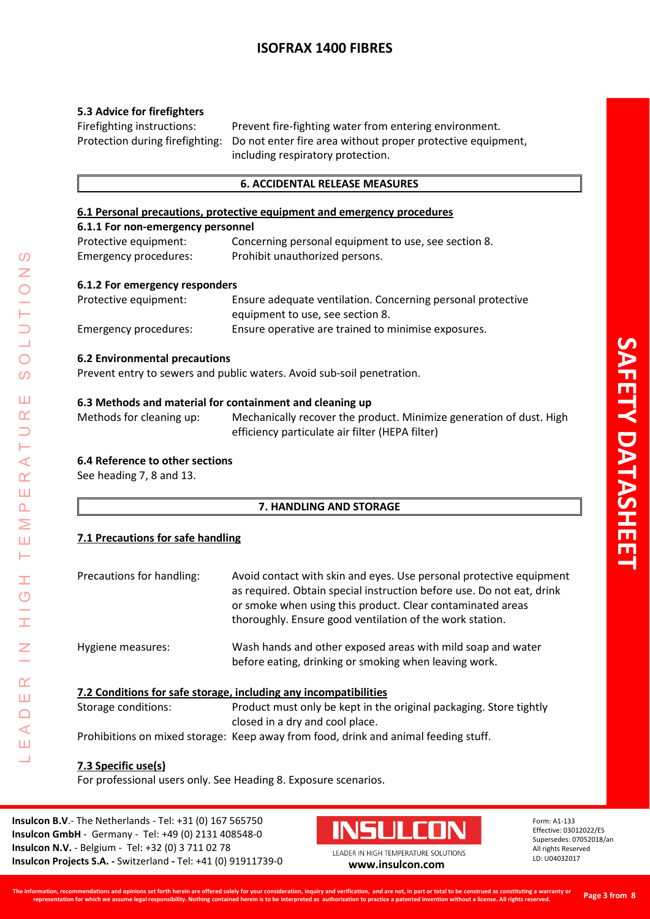# **ISOFRAX 1400 FIBRES**

# **5.3 Advice for firefighters**

Firefighting instructions: Prevent fire-fighting water from entering environment. Protection during firefighting: Do not enter fire area without proper protective equipment, including respiratory protection.

#### **6. ACCIDENTAL RELEASE MEASURES**

#### **6.1 Personal precautions, protective equipment and emergency procedures**

#### **6.1.1 For non-emergency personnel** Protective equipment: Concerning personal equipment to use, see section 8. Emergency procedures: Prohibit unauthorized persons.

#### **6.1.2 For emergency responders**

| Protective equipment: | Ensure adequate ventilation. Concerning personal protective |
|-----------------------|-------------------------------------------------------------|
|                       | equipment to use, see section 8.                            |
| Emergency procedures: | Ensure operative are trained to minimise exposures.         |

#### **6.2 Environmental precautions**

Prevent entry to sewers and public waters. Avoid sub-soil penetration.

#### **6.3 Methods and material for containment and cleaning up**

Methods for cleaning up: Mechanically recover the product. Minimize generation of dust. High efficiency particulate air filter (HEPA filter)

# **6.4 Reference to other sections**

See heading 7, 8 and 13.

# **7. HANDLING AND STORAGE**

# **7.1 Precautions for safe handling**

| Precautions for handling: | Avoid contact with skin and eyes. Use personal protective equipment<br>as required. Obtain special instruction before use. Do not eat, drink<br>or smoke when using this product. Clear contaminated areas<br>thoroughly. Ensure good ventilation of the work station. |
|---------------------------|------------------------------------------------------------------------------------------------------------------------------------------------------------------------------------------------------------------------------------------------------------------------|
| Hygiene measures:         | Wash hands and other exposed areas with mild soap and water<br>before eating, drinking or smoking when leaving work.                                                                                                                                                   |
|                           | 7.2 Conditions for safe storage, including any incompatibilities                                                                                                                                                                                                       |
| Storage conditions:       | Product must only be kept in the original packaging. Store tightly                                                                                                                                                                                                     |
|                           | closed in a dry and cool place.                                                                                                                                                                                                                                        |

Prohibitions on mixed storage: Keep away from food, drink and animal feeding stuff.

# **7.3 Specific use(s)**

For professional users only. See Heading 8. Exposure scenarios.

**Insulcon B.V**.- The Netherlands - Tel: +31 (0) 167 565750 **Insulcon GmbH** - Germany - Tel: +49 (0) 2131 408548-0 **Insulcon N.V.** - Belgium - Tel: +32 (0) 3 711 02 78 **Insulcon Projects S.A. -** Switzerland **-** Tel: +41 (0) 91911739-0 **[www.insulcon.com](http://www.insulcon.com/)**

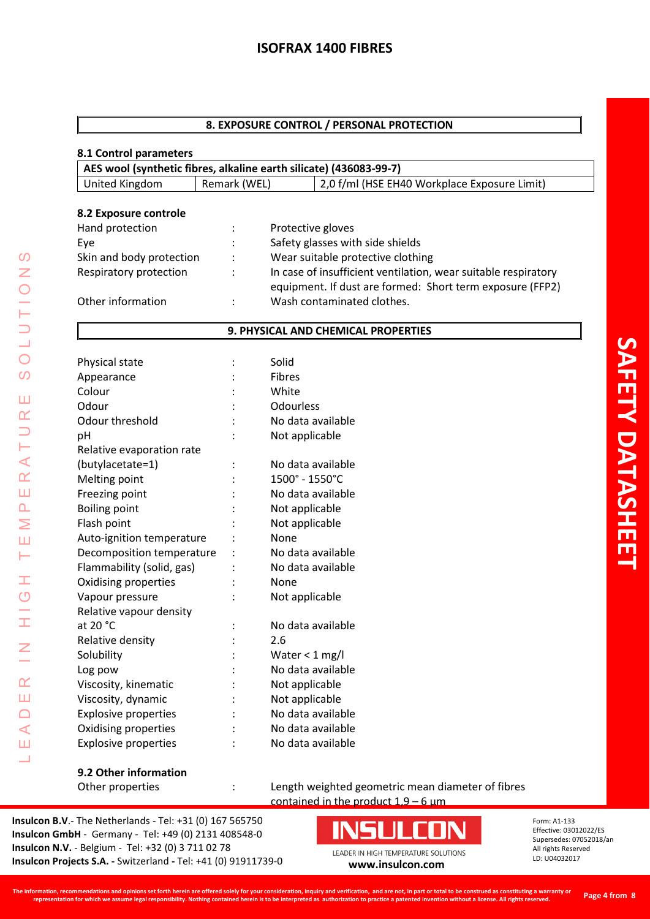#### **8. EXPOSURE CONTROL / PERSONAL PROTECTION**

#### **8.1 Control parameters**

| AES wool (synthetic fibres, alkaline earth silicate) (436083-99-7) |              |                                              |
|--------------------------------------------------------------------|--------------|----------------------------------------------|
| United Kingdom                                                     | Remark (WEL) | 2,0 f/ml (HSE EH40 Workplace Exposure Limit) |

#### **8.2 Exposure controle**

| Hand protection          |               | Protective gloves                                                                                                           |
|--------------------------|---------------|-----------------------------------------------------------------------------------------------------------------------------|
| Eye                      |               | Safety glasses with side shields                                                                                            |
| Skin and body protection | $\mathcal{L}$ | Wear suitable protective clothing                                                                                           |
| Respiratory protection   |               | In case of insufficient ventilation, wear suitable respiratory<br>equipment. If dust are formed: Short term exposure (FFP2) |
| Other information        | $\mathcal{L}$ | Wash contaminated clothes.                                                                                                  |

# **9. PHYSICAL AND CHEMICAL PROPERTIES**

|                             | Solid             |
|-----------------------------|-------------------|
| Physical state              | <b>Fibres</b>     |
| Appearance                  | White             |
| Colour                      |                   |
| Odour                       | Odourless         |
| Odour threshold             | No data available |
| pH                          | Not applicable    |
| Relative evaporation rate   |                   |
| (butylacetate=1)            | No data available |
| Melting point               | 1500° - 1550°C    |
| Freezing point              | No data available |
| <b>Boiling point</b>        | Not applicable    |
| Flash point                 | Not applicable    |
| Auto-ignition temperature   | None              |
| Decomposition temperature   | No data available |
| Flammability (solid, gas)   | No data available |
| Oxidising properties        | None              |
| Vapour pressure             | Not applicable    |
| Relative vapour density     |                   |
| at $20 °C$                  | No data available |
| Relative density            | 2.6               |
| Solubility                  | Water $<$ 1 mg/l  |
| Log pow                     | No data available |
| Viscosity, kinematic        | Not applicable    |
| Viscosity, dynamic          | Not applicable    |
| <b>Explosive properties</b> | No data available |
| Oxidising properties        | No data available |
| <b>Explosive properties</b> | No data available |
|                             |                   |

#### **9.2 Other information**

LEADER IN HIGH TEMPERATURE SOLUTIONS

 $\pm$  $\circ$  $\frac{1}{1}$ 

 $\overline{z}$ 

 $\alpha$ Ш  $\Box$  $\triangleleft$ Ш Ц

 $\Omega$ Z  $\bigcirc$ 

 $\bigcirc$  $\overline{O}$ 

Ш  $\alpha$  $\Rightarrow$ Н  $\prec$  $\alpha$ Ш  $\Delta$ Σ Ш Н

> Other properties : Length weighted geometric mean diameter of fibres contained in the product  $1.9 - 6 \mu m$

**Insulcon B.V**.- The Netherlands - Tel: +31 (0) 167 565750 **Insulcon GmbH** - Germany - Tel: +49 (0) 2131 408548-0 **Insulcon N.V.** - Belgium - Tel: +32 (0) 3 711 02 78 **Insulcon N.V.** - Beigium - Tel: +32 (0) 3 711 02 78<br> **Insulcon Projects S.A.** - Switzerland - Tel: +41 (0) 91911739-0 **[www.insulcon.com](http://www.insulcon.com/)** 

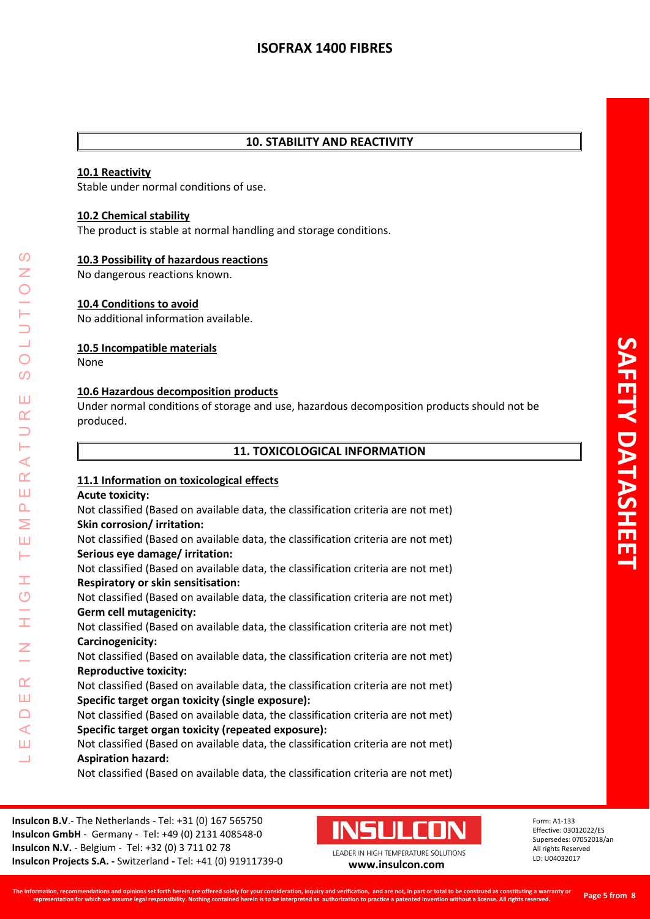# **10. STABILITY AND REACTIVITY**

## **10.1 Reactivity**

Stable under normal conditions of use.

## **10.2 Chemical stability**

The product is stable at normal handling and storage conditions.

#### **10.3 Possibility of hazardous reactions**

No dangerous reactions known.

#### **10.4 Conditions to avoid**

No additional information available.

#### **10.5 Incompatible materials**

None

LEADER IN HIGH TEMPERATURE SOLUTIONS

Ŧ  $\overline{O}$ 

 $\alpha$ Ш  $\Box$  $\blacktriangleleft$ Ш 山

⋖  $\underline{\alpha}$ Ш  $\overline{\mathbf{r}}$ Σ Ш Н

 $\Omega$ Z

 $\bigcirc$  $\Omega$ 

Ш  $\alpha$ 

#### **10.6 Hazardous decomposition products**

Under normal conditions of storage and use, hazardous decomposition products should not be produced.

#### **11. TOXICOLOGICAL INFORMATION**

#### **11.1 Information on toxicological effects**

#### **Acute toxicity:**

Not classified (Based on available data, the classification criteria are not met) **Skin corrosion/ irritation:** 

Not classified (Based on available data, the classification criteria are not met) **Serious eye damage/ irritation:** 

Not classified (Based on available data, the classification criteria are not met) **Respiratory or skin sensitisation:** 

Not classified (Based on available data, the classification criteria are not met) **Germ cell mutagenicity:** 

Not classified (Based on available data, the classification criteria are not met) **Carcinogenicity:** 

Not classified (Based on available data, the classification criteria are not met) **Reproductive toxicity:** 

Not classified (Based on available data, the classification criteria are not met) **Specific target organ toxicity (single exposure):** 

Not classified (Based on available data, the classification criteria are not met) **Specific target organ toxicity (repeated exposure):** 

Not classified (Based on available data, the classification criteria are not met) **Aspiration hazard:** 

Not classified (Based on available data, the classification criteria are not met)

**Insulcon B.V**.- The Netherlands - Tel: +31 (0) 167 565750 **Insulcon GmbH** - Germany - Tel: +49 (0) 2131 408548-0 **Insulcon N.V.** - Belgium - Tel: +32 (0) 3 711 02 78 **Insulcon Projects S.A. -** Switzerland **-** Tel: +41 (0) 91911739-0 **[www.insulcon.com](http://www.insulcon.com/)**

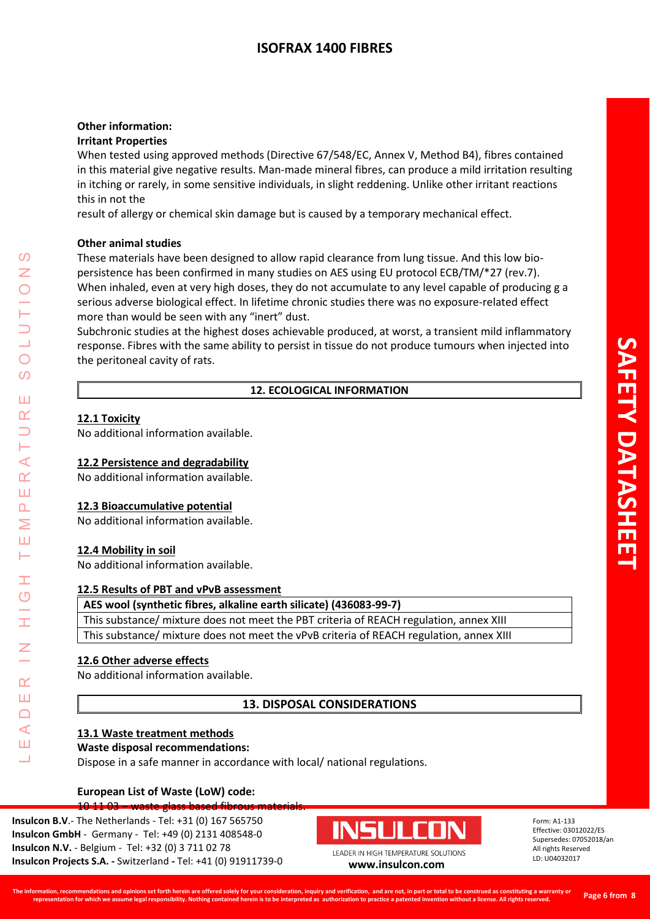# **ISOFRAX 1400 FIBRES**

#### **Other information: Irritant Properties**

When tested using approved methods (Directive 67/548/EC, Annex V, Method B4), fibres contained in this material give negative results. Man-made mineral fibres, can produce a mild irritation resulting in itching or rarely, in some sensitive individuals, in slight reddening. Unlike other irritant reactions this in not the

result of allergy or chemical skin damage but is caused by a temporary mechanical effect.

#### **Other animal studies**

These materials have been designed to allow rapid clearance from lung tissue. And this low biopersistence has been confirmed in many studies on AES using EU protocol ECB/TM/\*27 (rev.7). When inhaled, even at very high doses, they do not accumulate to any level capable of producing g a serious adverse biological effect. In lifetime chronic studies there was no exposure-related effect more than would be seen with any "inert" dust.

Subchronic studies at the highest doses achievable produced, at worst, a transient mild inflammatory response. Fibres with the same ability to persist in tissue do not produce tumours when injected into the peritoneal cavity of rats.

#### **12. ECOLOGICAL INFORMATION**

#### **12.1 Toxicity**

LEADER IN HIGH TEMPERATURE SOLUTIONS

Ŧ  $\overline{O}$ 

 $\alpha$ Ш  $\cap$  $\blacktriangleleft$ Ш  $\overline{\phantom{0}}$ 

⋖  $\alpha$ Ш  $\overline{\mathbf{r}}$ Σ Ш  $\vdash$ 

 $\Omega$ Z

 $\bigcirc$  $\Omega$ 

Ш  $\alpha$ 

No additional information available.

### **12.2 Persistence and degradability**

No additional information available.

#### **12.3 Bioaccumulative potential**

No additional information available.

#### **12.4 Mobility in soil**

No additional information available.

#### **12.5 Results of PBT and vPvB assessment**

**AES wool (synthetic fibres, alkaline earth silicate) (436083-99-7)** 

This substance/ mixture does not meet the PBT criteria of REACH regulation, annex XIII This substance/ mixture does not meet the vPvB criteria of REACH regulation, annex XIII

#### **12.6 Other adverse effects**

No additional information available.

#### **13. DISPOSAL CONSIDERATIONS**

#### **13.1 Waste treatment methods**

#### **Waste disposal recommendations:**

Dispose in a safe manner in accordance with local/ national regulations.

#### **European List of Waste (LoW) code:**  10 11 03 – waste glass based fibrous materia

**Insulcon B.V**.- The Netherlands - Tel: +31 (0) 167 565750 **Insulcon GmbH** - Germany - Tel: +49 (0) 2131 408548-0 **Insulcon N.V.** - Belgium - Tel: +32 (0) 3 711 02 78 **Insulcon Projects S.A. -** Switzerland **-** Tel: +41 (0) 91911739-0 **[www.insulcon.com](http://www.insulcon.com/)**

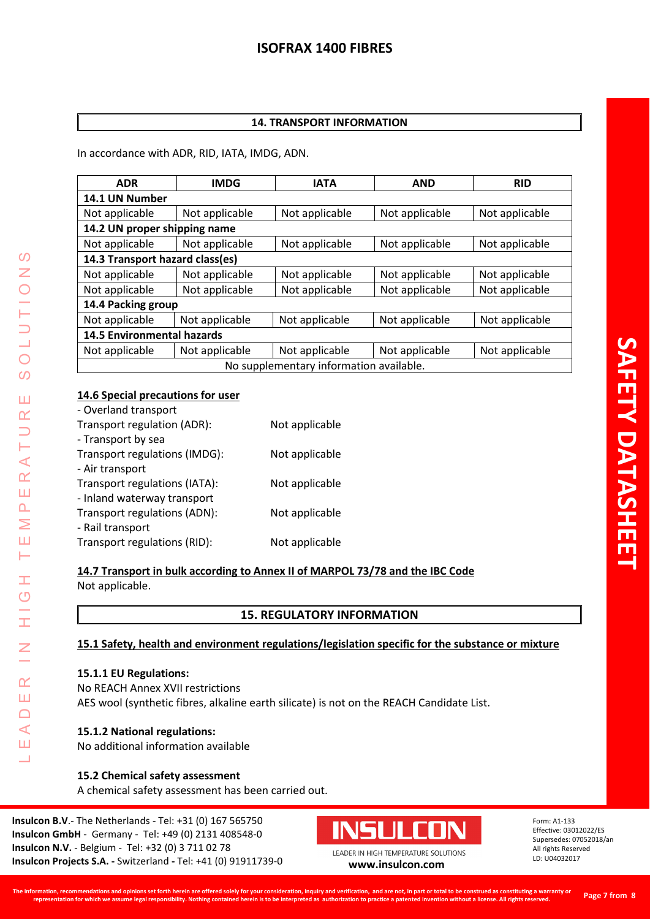# **14. TRANSPORT INFORMATION**

In accordance with ADR, RID, IATA, IMDG, ADN.

| <b>ADR</b>                        | <b>IMDG</b>    | <b>IATA</b>                             | <b>AND</b>     | <b>RID</b>     |
|-----------------------------------|----------------|-----------------------------------------|----------------|----------------|
| 14.1 UN Number                    |                |                                         |                |                |
| Not applicable                    | Not applicable | Not applicable                          | Not applicable | Not applicable |
| 14.2 UN proper shipping name      |                |                                         |                |                |
| Not applicable                    | Not applicable | Not applicable                          | Not applicable | Not applicable |
| 14.3 Transport hazard class(es)   |                |                                         |                |                |
| Not applicable                    | Not applicable | Not applicable                          | Not applicable | Not applicable |
| Not applicable                    | Not applicable | Not applicable                          | Not applicable | Not applicable |
| 14.4 Packing group                |                |                                         |                |                |
| Not applicable                    | Not applicable | Not applicable                          | Not applicable | Not applicable |
| <b>14.5 Environmental hazards</b> |                |                                         |                |                |
| Not applicable                    | Not applicable | Not applicable                          | Not applicable | Not applicable |
|                                   |                | No supplementary information available. |                |                |

#### **14.6 Special precautions for user**

| - Overland transport          |                |
|-------------------------------|----------------|
| Transport regulation (ADR):   | Not applicable |
| - Transport by sea            |                |
| Transport regulations (IMDG): | Not applicable |
| - Air transport               |                |
| Transport regulations (IATA): | Not applicable |
| - Inland waterway transport   |                |
| Transport regulations (ADN):  | Not applicable |
| - Rail transport              |                |
| Transport regulations (RID):  | Not applicable |

# **14.7 Transport in bulk according to Annex II of MARPOL 73/78 and the IBC Code** Not applicable.

LEADER IN HIGH TEMPERATURE SOLUTIONS

Ŧ  $\overline{O}$ 

I

 $\alpha$ Ш  $\Box$  $\triangleleft$ Ш 山

 $\Omega$ Z

 $\bigcirc$ 

 $\Omega$ 

Ш  $\alpha$ 

Н  $\prec$  $\alpha$ Ш  $\Delta$ Σ Ш ⊢

# **15. REGULATORY INFORMATION**

# **15.1 Safety, health and environment regulations/legislation specific for the substance or mixture**

#### **15.1.1 EU Regulations:**

No REACH Annex XVII restrictions AES wool (synthetic fibres, alkaline earth silicate) is not on the REACH Candidate List.

# **15.1.2 National regulations:**

No additional information available

# **15.2 Chemical safety assessment**

A chemical safety assessment has been carried out.

**Insulcon B.V**.- The Netherlands - Tel: +31 (0) 167 565750 **Insulcon GmbH** - Germany - Tel: +49 (0) 2131 408548-0 **Insulcon N.V.** - Belgium - Tel: +32 (0) 3 711 02 78 **Insulcon Projects S.A. -** Switzerland **-** Tel: +41 (0) 91911739-0 **[www.insulcon.com](http://www.insulcon.com/)**